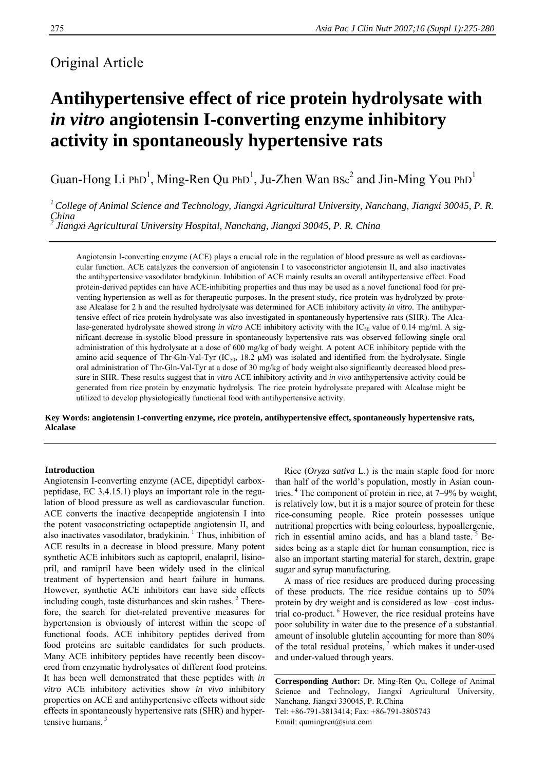# Original Article

# **Antihypertensive effect of rice protein hydrolysate with**  *in vitro* **angiotensin I-converting enzyme inhibitory activity in spontaneously hypertensive rats**

Guan-Hong Li PhD<sup>1</sup>, Ming-Ren Qu PhD<sup>1</sup>, Ju-Zhen Wan  $BSc^2$  and Jin-Ming You PhD<sup>1</sup>

*1 College of Animal Science and Technology, Jiangxi Agricultural University, Nanchang, Jiangxi 30045, P. R. China 2 Jiangxi Agricultural University Hospital, Nanchang, Jiangxi 30045, P. R. China* 

Angiotensin I-converting enzyme (ACE) plays a crucial role in the regulation of blood pressure as well as cardiovascular function. ACE catalyzes the conversion of angiotensin I to vasoconstrictor angiotensin II, and also inactivates the antihypertensive vasodilator bradykinin. Inhibition of ACE mainly results an overall antihypertensive effect. Food protein-derived peptides can have ACE-inhibiting properties and thus may be used as a novel functional food for preventing hypertension as well as for therapeutic purposes. In the present study, rice protein was hydrolyzed by protease Alcalase for 2 h and the resulted hydrolysate was determined for ACE inhibitory activity *in vitro*. The antihypertensive effect of rice protein hydrolysate was also investigated in spontaneously hypertensive rats (SHR). The Alcalase-generated hydrolysate showed strong *in vitro* ACE inhibitory activity with the IC<sub>50</sub> value of 0.14 mg/ml. A significant decrease in systolic blood pressure in spontaneously hypertensive rats was observed following single oral administration of this hydrolysate at a dose of 600 mg/kg of body weight. A potent ACE inhibitory peptide with the amino acid sequence of Thr-Gln-Val-Tyr (IC $_{50}$ , 18.2  $\mu$ M) was isolated and identified from the hydrolysate. Single oral administration of Thr-Gln-Val-Tyr at a dose of 30 mg/kg of body weight also significantly decreased blood pressure in SHR. These results suggest that i*n vitro* ACE inhibitory activity and *in vivo* antihypertensive activity could be generated from rice protein by enzymatic hydrolysis. The rice protein hydrolysate prepared with Alcalase might be utilized to develop physiologically functional food with antihypertensive activity.

**Key Words: angiotensin I-converting enzyme, rice protein, antihypertensive effect, spontaneously hypertensive rats, Alcalase** 

# **Introduction**

Angiotensin I-converting enzyme (ACE, dipeptidyl carboxpeptidase, EC 3.4.15.1) plays an important role in the regulation of blood pressure as well as cardiovascular function. ACE converts the inactive decapeptide angiotensin I into the potent vasoconstricting octapeptide angiotensin II, and also inactivates vasodilator, bradykinin.  $\frac{1}{1}$  Thus, inhibition of ACE results in a decrease in blood pressure. Many potent synthetic ACE inhibitors such as captopril, enalapril, lisinopril, and ramipril have been widely used in the clinical treatment of hypertension and heart failure in humans. However, synthetic ACE inhibitors can have side effects including cough, taste disturbances and skin rashes. $<sup>2</sup>$  There-</sup> fore, the search for diet-related preventive measures for hypertension is obviously of interest within the scope of functional foods. ACE inhibitory peptides derived from food proteins are suitable candidates for such products. Many ACE inhibitory peptides have recently been discovered from enzymatic hydrolysates of different food proteins. It has been well demonstrated that these peptides with *in vitro* ACE inhibitory activities show *in vivo* inhibitory properties on ACE and antihypertensive effects without side effects in spontaneously hypertensive rats (SHR) and hypertensive humans $3$ 

Rice (*Oryza sativa* L.) is the main staple food for more than half of the world's population, mostly in Asian countries. 4 The component of protein in rice, at 7–9% by weight, is relatively low, but it is a major source of protein for these rice-consuming people. Rice protein possesses unique nutritional properties with being colourless, hypoallergenic, rich in essential amino acids, and has a bland taste.<sup>5</sup> Besides being as a staple diet for human consumption, rice is also an important starting material for starch, dextrin, grape sugar and syrup manufacturing.

A mass of rice residues are produced during processing of these products. The rice residue contains up to 50% protein by dry weight and is considered as low –cost industrial co-product. 6 However, the rice residual proteins have poor solubility in water due to the presence of a substantial amount of insoluble glutelin accounting for more than 80% of the total residual proteins,  $\frac{7}{1}$  which makes it under-used and under-valued through years.

**Corresponding Author:** Dr. Ming-Ren Qu, College of Animal Science and Technology, Jiangxi Agricultural University, Nanchang, Jiangxi 330045, P. R.China Tel: +86-791-3813414; Fax: +86-791-3805743 Email: qumingren@sina.com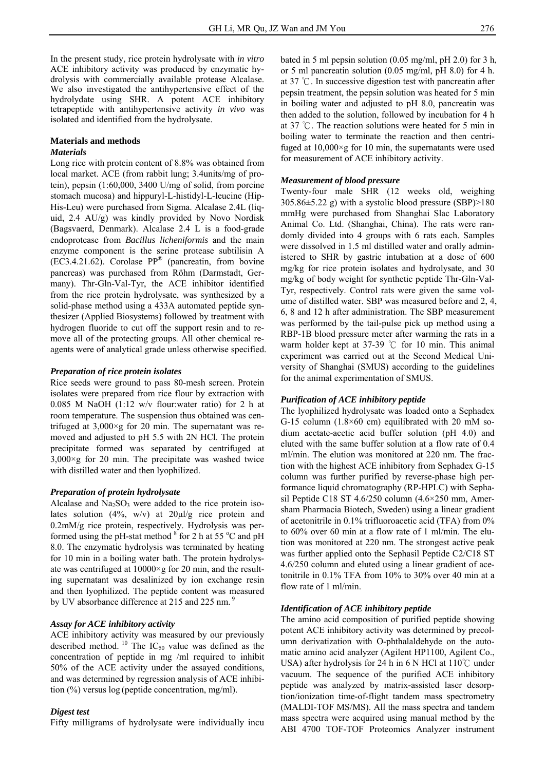In the present study, rice protein hydrolysate with *in vitro* ACE inhibitory activity was produced by enzymatic hydrolysis with commercially available protease Alcalase. We also investigated the antihypertensive effect of the hydrolydate using SHR. A potent ACE inhibitory tetrapeptide with antihypertensive activity *in vivo* was isolated and identified from the hydrolysate.

#### **Materials and methods**  *Materials*

Long rice with protein content of 8.8% was obtained from local market. ACE (from rabbit lung; 3.4units/mg of protein), pepsin (1:60,000, 3400 U/mg of solid, from porcine stomach mucosa) and hippuryl-L-histidyl-L-leucine (Hip-His-Leu) were purchased from Sigma. Alcalase 2.4L (liquid, 2.4 AU/g) was kindly provided by Novo Nordisk (Bagsvaerd, Denmark). Alcalase 2.4 L is a food-grade endoprotease from *Bacillus licheniformis* and the main enzyme component is the serine protease subtilisin A (EC3.4.21.62). Corolase  $PP^{\otimes}$  (pancreatin, from bovine pancreas) was purchased from Röhm (Darmstadt, Germany). Thr-Gln-Val-Tyr, the ACE inhibitor identified from the rice protein hydrolysate, was synthesized by a solid-phase method using a 433A automated peptide synthesizer (Applied Biosystems) followed by treatment with hydrogen fluoride to cut off the support resin and to remove all of the protecting groups. All other chemical reagents were of analytical grade unless otherwise specified.

### *Preparation of rice protein isolates*

Rice seeds were ground to pass 80-mesh screen. Protein isolates were prepared from rice flour by extraction with 0.085 M NaOH (1:12 w/v flour:water ratio) for 2 h at room temperature. The suspension thus obtained was centrifuged at  $3.000 \times g$  for 20 min. The supernatant was removed and adjusted to pH 5.5 with 2N HCl. The protein precipitate formed was separated by centrifuged at  $3.000\times g$  for 20 min. The precipitate was washed twice with distilled water and then lyophilized.

### *Preparation of protein hydrolysate*

Alcalase and  $Na<sub>2</sub>SO<sub>3</sub>$  were added to the rice protein isolates solution  $(4\%, w/v)$  at  $20\mu l/g$  rice protein and 0.2mM/g rice protein, respectively. Hydrolysis was performed using the pH-stat method  $\frac{8}{3}$  for 2 h at 55 °C and pH 8.0. The enzymatic hydrolysis was terminated by heating for 10 min in a boiling water bath. The protein hydrolysate was centrifuged at 10000×g for 20 min, and the resulting supernatant was desalinized by ion exchange resin and then lyophilized. The peptide content was measured by UV absorbance difference at 215 and 225 nm.<sup>9</sup>

## *Assay for ACE inhibitory activity*

ACE inhibitory activity was measured by our previously described method. <sup>10</sup> The IC<sub>50</sub> value was defined as the concentration of peptide in mg /ml required to inhibit 50% of the ACE activity under the assayed conditions, and was determined by regression analysis of ACE inhibition (%) versus log (peptide concentration, mg/ml).

### *Digest test*

Fifty milligrams of hydrolysate were individually incu

bated in 5 ml pepsin solution (0.05 mg/ml, pH 2.0) for 3 h, or 5 ml pancreatin solution (0.05 mg/ml, pH 8.0) for 4 h. at 37 ℃. In successive digestion test with pancreatin after pepsin treatment, the pepsin solution was heated for 5 min in boiling water and adjusted to pH 8.0, pancreatin was then added to the solution, followed by incubation for 4 h at 37 ℃. The reaction solutions were heated for 5 min in boiling water to terminate the reaction and then centrifuged at  $10,000 \times g$  for 10 min, the supernatants were used for measurement of ACE inhibitory activity.

### *Measurement of blood pressure*

Twenty-four male SHR (12 weeks old, weighing  $305.86\pm5.22$  g) with a systolic blood pressure (SBP)>180 mmHg were purchased from Shanghai Slac Laboratory Animal Co. Ltd. (Shanghai, China). The rats were randomly divided into 4 groups with 6 rats each. Samples were dissolved in 1.5 ml distilled water and orally administered to SHR by gastric intubation at a dose of 600 mg/kg for rice protein isolates and hydrolysate, and 30 mg/kg of body weight for synthetic peptide Thr-Gln-Val-Tyr, respectively. Control rats were given the same volume of distilled water. SBP was measured before and 2, 4, 6, 8 and 12 h after administration. The SBP measurement was performed by the tail-pulse pick up method using a RBP-1B blood pressure meter after warming the rats in a warm holder kept at 37-39 ℃ for 10 min. This animal experiment was carried out at the Second Medical University of Shanghai (SMUS) according to the guidelines for the animal experimentation of SMUS.

### *Purification of ACE inhibitory peptide*

The lyophilized hydrolysate was loaded onto a Sephadex G-15 column  $(1.8\times60$  cm) equilibrated with 20 mM sodium acetate-acetic acid buffer solution (pH 4.0) and eluted with the same buffer solution at a flow rate of 0.4 ml/min. The elution was monitored at 220 nm. The fraction with the highest ACE inhibitory from Sephadex G-15 column was further purified by reverse-phase high performance liquid chromatography (RP-HPLC) with Sephasil Peptide C18 ST 4.6/250 column (4.6×250 mm, Amersham Pharmacia Biotech, Sweden) using a linear gradient of acetonitrile in 0.1% trifluoroacetic acid (TFA) from 0% to 60% over 60 min at a flow rate of 1 ml/min. The elution was monitored at 220 nm. The strongest active peak was further applied onto the Sephasil Peptide C2/C18 ST 4.6/250 column and eluted using a linear gradient of acetonitrile in 0.1% TFA from 10% to 30% over 40 min at a flow rate of 1 ml/min.

### *Identification of ACE inhibitory peptide*

The amino acid composition of purified peptide showing potent ACE inhibitory activity was determined by precolumn derivatization with O-phthalaldehyde on the automatic amino acid analyzer (Agilent HP1100, Agilent Co., USA) after hydrolysis for 24 h in 6 N HCl at  $110^{\circ}$ C under vacuum. The sequence of the purified ACE inhibitory peptide was analyzed by matrix-assisted laser desorption/ionization time-of-flight tandem mass spectrometry (MALDI-TOF MS/MS). All the mass spectra and tandem mass spectra were acquired using manual method by the ABI 4700 TOF-TOF Proteomics Analyzer instrument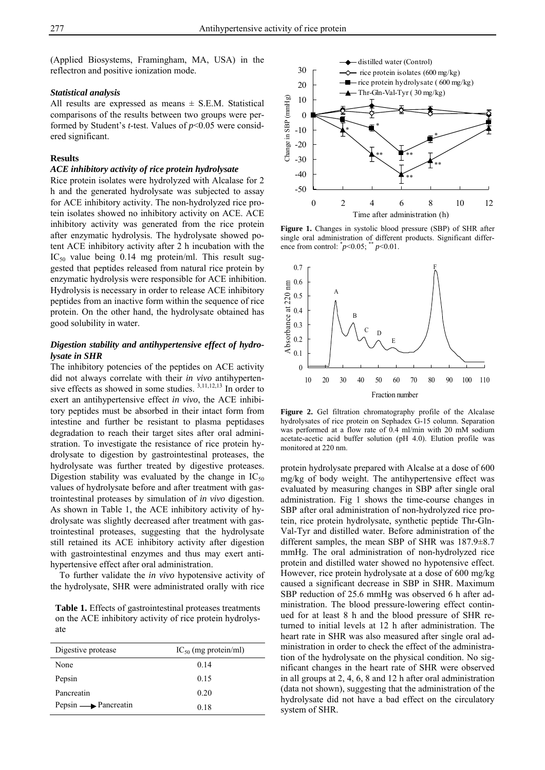(Applied Biosystems, Framingham, MA, USA) in the reflectron and positive ionization mode.

#### *Statistical analysis*

All results are expressed as means  $\pm$  S.E.M. Statistical comparisons of the results between two groups were performed by Student's *t*-test. Values of *p*<0.05 were considered significant.

#### **Results**

#### *ACE inhibitory activity of rice protein hydrolysate*

Rice protein isolates were hydrolyzed with Alcalase for 2 h and the generated hydrolysate was subjected to assay for ACE inhibitory activity. The non-hydrolyzed rice protein isolates showed no inhibitory activity on ACE. ACE inhibitory activity was generated from the rice protein after enzymatic hydrolysis. The hydrolysate showed potent ACE inhibitory activity after 2 h incubation with the  $IC_{50}$  value being 0.14 mg protein/ml. This result suggested that peptides released from natural rice protein by enzymatic hydrolysis were responsible for ACE inhibition. Hydrolysis is necessary in order to release ACE inhibitory peptides from an inactive form within the sequence of rice protein. On the other hand, the hydrolysate obtained has good solubility in water.

# *Digestion stability and antihypertensive effect of hydrolysate in SHR*

The inhibitory potencies of the peptides on ACE activity did not always correlate with their *in vivo* antihypertensive effects as showed in some studies. 3,11,12,13 In order to exert an antihypertensive effect *in vivo*, the ACE inhibitory peptides must be absorbed in their intact form from intestine and further be resistant to plasma peptidases degradation to reach their target sites after oral administration. To investigate the resistance of rice protein hydrolysate to digestion by gastrointestinal proteases, the hydrolysate was further treated by digestive proteases. Digestion stability was evaluated by the change in  $IC_{50}$ values of hydrolysate before and after treatment with gastrointestinal proteases by simulation of *in vivo* digestion. As shown in Table 1, the ACE inhibitory activity of hydrolysate was slightly decreased after treatment with gastrointestinal proteases, suggesting that the hydrolysate still retained its ACE inhibitory activity after digestion with gastrointestinal enzymes and thus may exert antihypertensive effect after oral administration.

To further validate the *in vivo* hypotensive activity of the hydrolysate, SHR were administrated orally with rice

**Table 1.** Effects of gastrointestinal proteases treatments on the ACE inhibitory activity of rice protein hydrolysate

| Digestive protease                  | $IC_{50}$ (mg protein/ml) |
|-------------------------------------|---------------------------|
| None                                | 0.14                      |
| Pepsin                              | 0.15                      |
| Pancreatin                          | 0.20                      |
| Pepsin $\longrightarrow$ Pancreatin | 0.18                      |



**Figure 1.** Changes in systolic blood pressure (SBP) of SHR after single oral administration of different products. Significant difference from control:  $^{*}p<0.05$ ;  $^{**}p<0.01$ .



**Figure 2.** Gel filtration chromatography profile of the Alcalase hydrolysates of rice protein on Sephadex G-15 column. Separation was performed at a flow rate of 0.4 ml/min with 20 mM sodium acetate-acetic acid buffer solution (pH 4.0). Elution profile was monitored at 220 nm.

protein hydrolysate prepared with Alcalse at a dose of 600 mg/kg of body weight. The antihypertensive effect was evaluated by measuring changes in SBP after single oral administration. Fig 1 shows the time-course changes in SBP after oral administration of non-hydrolyzed rice protein, rice protein hydrolysate, synthetic peptide Thr-Gln-Val-Tyr and distilled water. Before administration of the different samples, the mean SBP of SHR was 187.9±8.7 mmHg. The oral administration of non-hydrolyzed rice protein and distilled water showed no hypotensive effect. However, rice protein hydrolysate at a dose of 600 mg/kg caused a significant decrease in SBP in SHR. Maximum SBP reduction of 25.6 mmHg was observed 6 h after administration. The blood pressure-lowering effect continued for at least 8 h and the blood pressure of SHR returned to initial levels at 12 h after administration. The heart rate in SHR was also measured after single oral administration in order to check the effect of the administration of the hydrolysate on the physical condition. No significant changes in the heart rate of SHR were observed in all groups at 2, 4, 6, 8 and 12 h after oral administration (data not shown), suggesting that the administration of the hydrolysate did not have a bad effect on the circulatory system of SHR.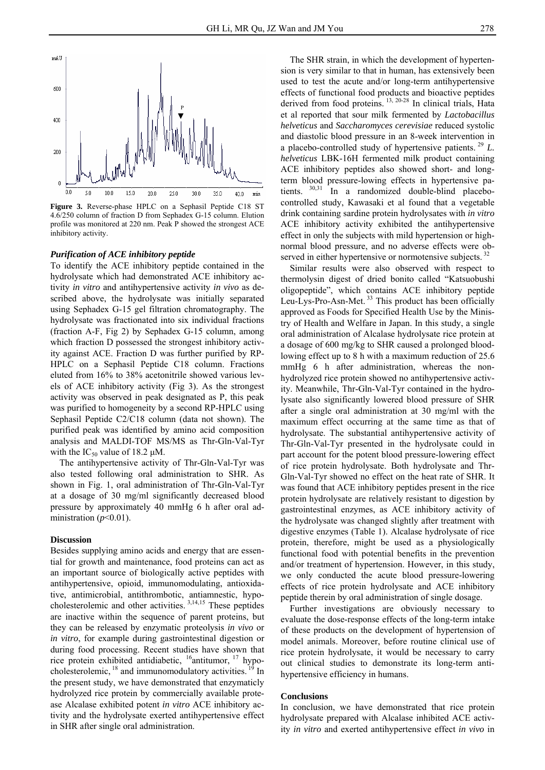

**Figure 3.** Reverse-phase HPLC on a Sephasil Peptide C18 ST 4.6/250 column of fraction D from Sephadex G-15 column. Elution profile was monitored at 220 nm. Peak P showed the strongest ACE inhibitory activity.

## *Purification of ACE inhibitory peptide*

To identify the ACE inhibitory peptide contained in the hydrolysate which had demonstrated ACE inhibitory activity *in vitro* and antihypertensive activity *in vivo* as described above, the hydrolysate was initially separated using Sephadex G-15 gel filtration chromatography. The hydrolysate was fractionated into six individual fractions (fraction A-F, Fig 2) by Sephadex G-15 column, among which fraction D possessed the strongest inhibitory activity against ACE. Fraction D was further purified by RP-HPLC on a Sephasil Peptide C18 column. Fractions eluted from 16% to 38% acetonitrile showed various levels of ACE inhibitory activity (Fig 3). As the strongest activity was observed in peak designated as P, this peak was purified to homogeneity by a second RP-HPLC using Sephasil Peptide C2/C18 column (data not shown). The purified peak was identified by amino acid composition analysis and MALDI-TOF MS/MS as Thr-Gln-Val-Tyr with the  $IC_{50}$  value of 18.2  $\mu$ M.

The antihypertensive activity of Thr-Gln-Val-Tyr was also tested following oral administration to SHR. As shown in Fig. 1, oral administration of Thr-Gln-Val-Tyr at a dosage of 30 mg/ml significantly decreased blood pressure by approximately 40 mmHg 6 h after oral administration  $(p<0.01)$ .

#### **Discussion**

Besides supplying amino acids and energy that are essential for growth and maintenance, food proteins can act as an important source of biologically active peptides with antihypertensive, opioid, immunomodulating, antioxidative, antimicrobial, antithrombotic, antiamnestic, hypocholesterolemic and other activities. 3,14,15 These peptides are inactive within the sequence of parent proteins, but they can be released by enzymatic proteolysis *in vivo* or *in vitro*, for example during gastrointestinal digestion or during food processing. Recent studies have shown that rice protein exhibited antidiabetic, <sup>16</sup>antitumor, <sup>17</sup> hypocholesterolemic, <sup>18</sup> and immunomodulatory activities. <sup>19</sup> In the present study, we have demonstrated that enzymaticly hydrolyzed rice protein by commercially available protease Alcalase exhibited potent *in vitro* ACE inhibitory activity and the hydrolysate exerted antihypertensive effect in SHR after single oral administration.

The SHR strain, in which the development of hypertension is very similar to that in human, has extensively been used to test the acute and/or long-term antihypertensive effects of functional food products and bioactive peptides derived from food proteins. <sup>13, 20-28</sup> In clinical trials, Hata et al reported that sour milk fermented by *Lactobacillus helveticus* and *Saccharomyces cerevisiae* reduced systolic and diastolic blood pressure in an 8-week intervention in a placebo-controlled study of hypertensive patients. 29 *L. helveticus* LBK-16H fermented milk product containing ACE inhibitory peptides also showed short- and longterm blood pressure-lowing effects in hypertensive patients. 30,31 In a randomized double-blind placebocontrolled study, Kawasaki et al found that a vegetable drink containing sardine protein hydrolysates with *in vitro* ACE inhibitory activity exhibited the antihypertensive effect in only the subjects with mild hypertension or highnormal blood pressure, and no adverse effects were observed in either hypertensive or normotensive subjects.<sup>32</sup>

Similar results were also observed with respect to thermolysin digest of dried bonito called "Katsuobushi oligopeptide", which contains ACE inhibitory peptide Leu-Lys-Pro-Asn-Met.<sup>33</sup> This product has been officially approved as Foods for Specified Health Use by the Ministry of Health and Welfare in Japan. In this study, a single oral administration of Alcalase hydrolysate rice protein at a dosage of 600 mg/kg to SHR caused a prolonged bloodlowing effect up to 8 h with a maximum reduction of 25.6 mmHg 6 h after administration, whereas the nonhydrolyzed rice protein showed no antihypertensive activity. Meanwhile, Thr-Gln-Val-Tyr contained in the hydrolysate also significantly lowered blood pressure of SHR after a single oral administration at 30 mg/ml with the maximum effect occurring at the same time as that of hydrolysate. The substantial antihypertensive activity of Thr-Gln-Val-Tyr presented in the hydrolysate could in part account for the potent blood pressure-lowering effect of rice protein hydrolysate. Both hydrolysate and Thr-Gln-Val-Tyr showed no effect on the heat rate of SHR. It was found that ACE inhibitory peptides present in the rice protein hydrolysate are relatively resistant to digestion by gastrointestinal enzymes, as ACE inhibitory activity of the hydrolysate was changed slightly after treatment with digestive enzymes (Table 1). Alcalase hydrolysate of rice protein, therefore, might be used as a physiologically functional food with potential benefits in the prevention and/or treatment of hypertension. However, in this study, we only conducted the acute blood pressure-lowering effects of rice protein hydrolysate and ACE inhibitory peptide therein by oral administration of single dosage.

Further investigations are obviously necessary to evaluate the dose-response effects of the long-term intake of these products on the development of hypertension of model animals. Moreover, before routine clinical use of rice protein hydrolysate, it would be necessary to carry out clinical studies to demonstrate its long-term antihypertensive efficiency in humans.

#### **Conclusions**

In conclusion, we have demonstrated that rice protein hydrolysate prepared with Alcalase inhibited ACE activity *in vitro* and exerted antihypertensive effect *in vivo* in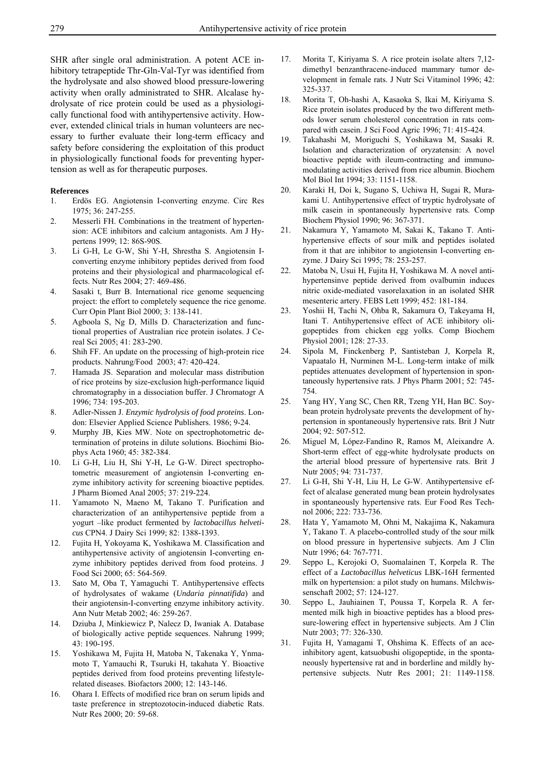SHR after single oral administration. A potent ACE inhibitory tetrapeptide Thr-Gln-Val-Tyr was identified from the hydrolysate and also showed blood pressure-lowering activity when orally administrated to SHR. Alcalase hydrolysate of rice protein could be used as a physiologically functional food with antihypertensive activity. However, extended clinical trials in human volunteers are necessary to further evaluate their long-term efficacy and safety before considering the exploitation of this product in physiologically functional foods for preventing hypertension as well as for therapeutic purposes.

#### **References**

- 1. Erdös EG. Angiotensin I-converting enzyme. Circ Res 1975; 36: 247-255.
- 2. Messerli FH. Combinations in the treatment of hypertension: ACE inhibitors and calcium antagonists. Am J Hypertens 1999; 12: 86S-90S.
- 3. Li G-H, Le G-W, Shi Y-H, Shrestha S. Angiotensin Iconverting enzyme inhibitory peptides derived from food proteins and their physiological and pharmacological effects. Nutr Res 2004; 27: 469-486.
- 4. Sasaki t, Burr B. International rice genome sequencing project: the effort to completely sequence the rice genome. Curr Opin Plant Biol 2000; 3: 138-141.
- 5. Agboola S, Ng D, Mills D. Characterization and functional properties of Australian rice protein isolates. J Cereal Sci 2005; 41: 283-290.
- 6. Shih FF. An update on the processing of high-protein rice products. Nahrung/Food 2003; 47: 420-424.
- 7. Hamada JS. Separation and molecular mass distribution of rice proteins by size-exclusion high-performance liquid chromatography in a dissociation buffer. J Chromatogr A 1996; 734: 195-203.
- 8. Adler-Nissen J. *Enzymic hydrolysis of food proteins*. London: Elsevier Applied Science Publishers. 1986; 9-24.
- 9. Murphy JB, Kies MW. Note on spectrophotometric determination of proteins in dilute solutions. Biochimi Biophys Acta 1960; 45: 382-384.
- 10. Li G-H, Liu H, Shi Y-H, Le G-W. Direct spectrophotometric measurement of angiotensin I-converting enzyme inhibitory activity for screening bioactive peptides. J Pharm Biomed Anal 2005; 37: 219-224.
- 11. Yamamoto N, Maeno M, Takano T. Purification and characterization of an antihypertensive peptide from a yogurt –like product fermented by *lactobacillus helveticus* CPN4. J Dairy Sci 1999; 82: 1388-1393.
- 12. Fujita H, Yokoyama K, Yoshikawa M. Classification and antihypertensive activity of angiotensin I-converting enzyme inhibitory peptides derived from food proteins. J Food Sci 2000; 65: 564-569.
- 13. Sato M, Oba T, Yamaguchi T. Antihypertensive effects of hydrolysates of wakame (*Undaria pinnatifida*) and their angiotensin-I-converting enzyme inhibitory activity. Ann Nutr Metab 2002; 46: 259-267.
- 14. Dziuba J, Minkiewicz P, Nalecz D, Iwaniak A. Database of biologically active peptide sequences. Nahrung 1999; 43: 190-195.
- 15. Yoshikawa M, Fujita H, Matoba N, Takenaka Y, Ynmamoto T, Yamauchi R, Tsuruki H, takahata Y. Bioactive peptides derived from food proteins preventing lifestylerelated diseases. Biofactors 2000; 12: 143-146.
- 16. Ohara I. Effects of modified rice bran on serum lipids and taste preference in streptozotocin-induced diabetic Rats. Nutr Res 2000; 20: 59-68.
- 17. Morita T, Kiriyama S. A rice protein isolate alters 7,12 dimethyl benzanthracene-induced mammary tumor development in female rats. J Nutr Sci Vitaminol 1996; 42: 325-337.
- 18. Morita T, Oh-hashi A, Kasaoka S, Ikai M, Kiriyama S. Rice protein isolates produced by the two different methods lower serum cholesterol concentration in rats compared with casein. J Sci Food Agric 1996; 71: 415-424.
- 19. Takahashi M, Moriguchi S, Yoshikawa M, Sasaki R. Isolation and characterization of oryzatensin: A novel bioactive peptide with ileum-contracting and immunomodulating activities derived from rice albumin. Biochem Mol Biol Int 1994; 33: 1151-1158.
- 20. Karaki H, Doi k, Sugano S, Uchiwa H, Sugai R, Murakami U. Antihypertensive effect of tryptic hydrolysate of milk casein in spontaneously hypertensive rats. Comp Biochem Physiol 1990; 96: 367-371.
- 21. Nakamura Y, Yamamoto M, Sakai K, Takano T. Antihypertensive effects of sour milk and peptides isolated from it that are inhibitor to angiotensin I-converting enzyme. J Dairy Sci 1995; 78: 253-257.
- 22. Matoba N, Usui H, Fujita H, Yoshikawa M. A novel antihypertensinve peptide derived from ovalbumin induces nitric oxide-mediated vasorelaxation in an isolated SHR mesenteric artery. FEBS Lett 1999; 452: 181-184.
- 23. Yoshii H, Tachi N, Ohba R, Sakamura O, Takeyama H, Itani T. Antihypertensive effect of ACE inhibitory oligopeptides from chicken egg yolks. Comp Biochem Physiol 2001; 128: 27-33.
- 24. Sipola M, Finckenberg P, Santisteban J, Korpela R, Vapaatalo H, Nurminen M-L. Long-term intake of milk peptides attenuates development of hypertension in spontaneously hypertensive rats. J Phys Pharm 2001; 52: 745- 754.
- 25. Yang HY, Yang SC, Chen RR, Tzeng YH, Han BC. Soybean protein hydrolysate prevents the development of hypertension in spontaneously hypertensive rats. Brit J Nutr 2004; 92: 507-512.
- 26. Miguel M, López-Fandino R, Ramos M, Aleixandre A. Short-term effect of egg-white hydrolysate products on the arterial blood pressure of hypertensive rats. Brit J Nutr 2005; 94: 731-737.
- 27. Li G-H, Shi Y-H, Liu H, Le G-W. Antihypertensive effect of alcalase generated mung bean protein hydrolysates in spontaneously hypertensive rats. Eur Food Res Technol 2006; 222: 733-736.
- 28. Hata Y, Yamamoto M, Ohni M, Nakajima K, Nakamura Y, Takano T. A placebo-controlled study of the sour milk on blood pressure in hypertensive subjects. Am J Clin Nutr 1996; 64: 767-771.
- 29. Seppo L, Kerojoki O, Suomalainen T, Korpela R. The effect of a *Lactobacillus helveticus* LBK-16H fermented milk on hypertension: a pilot study on humans. Milchwissenschaft 2002; 57: 124-127.
- 30. Seppo L, Jauhiainen T, Poussa T, Korpela R. A fermented milk high in bioactive peptides has a blood pressure-lowering effect in hypertensive subjects. Am J Clin Nutr 2003; 77: 326-330.
- 31. Fujita H, Yamagami T, Ohshima K. Effects of an aceinhibitory agent, katsuobushi oligopeptide, in the spontaneously hypertensive rat and in borderline and mildly hypertensive subjects. Nutr Res 2001; 21: 1149-1158.